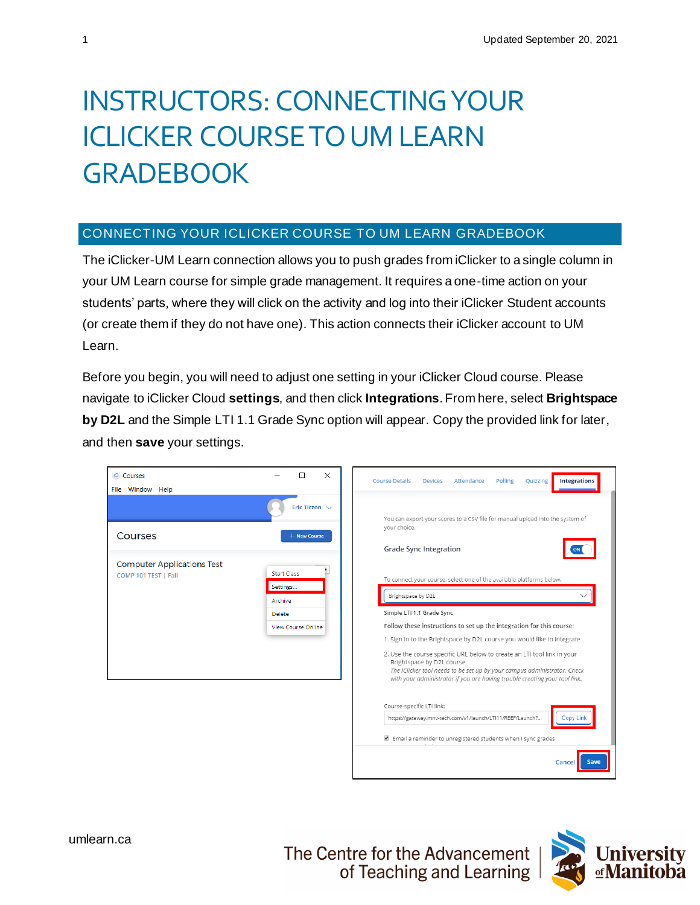## INSTRUCTORS: CONNECTING YOUR ICLICKER COURSE TO UM LEARN **GRADEBOOK**

## CONNECTING YOUR ICLICKER COURSE TO UM LEARN GRADEBOOK

The iClicker-UM Learn connection allows you to push grades from iClicker to a single column in your UM Learn course for simple grade management. It requires a one-time action on your students' parts, where they will click on the activity and log into their iClicker Student accounts (or create them if they do not have one). This action connects their iClicker account to UM Learn.

Before you begin, you will need to adjust one setting in your iClicker Cloud course. Please navigate to iClicker Cloud **settings**, and then click **Integrations**. From here, select **Brightspace by D2L** and the Simple LTI 1.1 Grade Sync option will appear. Copy the provided link for later, and then **save** your settings.

| Courses<br>File Window Help                               | $\times$<br>п                                                                           | <b>Course Details</b><br>Polling<br><b>Integrations</b><br>Attendance<br>Quizzing<br><b>Devices</b>                                                                                                                                                                                                                                                                                                                                                                                                                                                                                                                                                                                  |  |  |
|-----------------------------------------------------------|-----------------------------------------------------------------------------------------|--------------------------------------------------------------------------------------------------------------------------------------------------------------------------------------------------------------------------------------------------------------------------------------------------------------------------------------------------------------------------------------------------------------------------------------------------------------------------------------------------------------------------------------------------------------------------------------------------------------------------------------------------------------------------------------|--|--|
| Courses                                                   | Eric Ticzon $\vee$<br>$+$ New Course                                                    | You can export your scores to a CSV file for manual upload into the system of<br>your choice.                                                                                                                                                                                                                                                                                                                                                                                                                                                                                                                                                                                        |  |  |
| <b>Computer Applications Test</b><br>COMP 101 TEST   Fall | <b>Start Class</b><br>Settings<br>Archive<br><b>Delete</b><br><b>View Course Online</b> | <b>Grade Sync Integration</b><br>To connect your course, select one of the available platforms below.<br>Brightspace by D2L<br>Simple LTI 1.1 Grade Sync<br>Follow these instructions to set up the integration for this course:<br>1. Sign in to the Brightspace by D2L course you would like to integrate<br>2. Use the course specific URL below to create an LTI tool link in your<br>Brightspace by D2L course.<br>The iClicker tool needs to be set up by your campus administrator. Check<br>with your administrator if you are having trouble creating your tool link.<br>Course-specific LTI link:<br>https://gateway.mnv-tech.com/v1/launch/LTI11/REEF/Launch?<br>Copy Lin |  |  |
|                                                           |                                                                                         | Email a reminder to unregistered students when I sync grades<br>Save<br>Cancel                                                                                                                                                                                                                                                                                                                                                                                                                                                                                                                                                                                                       |  |  |

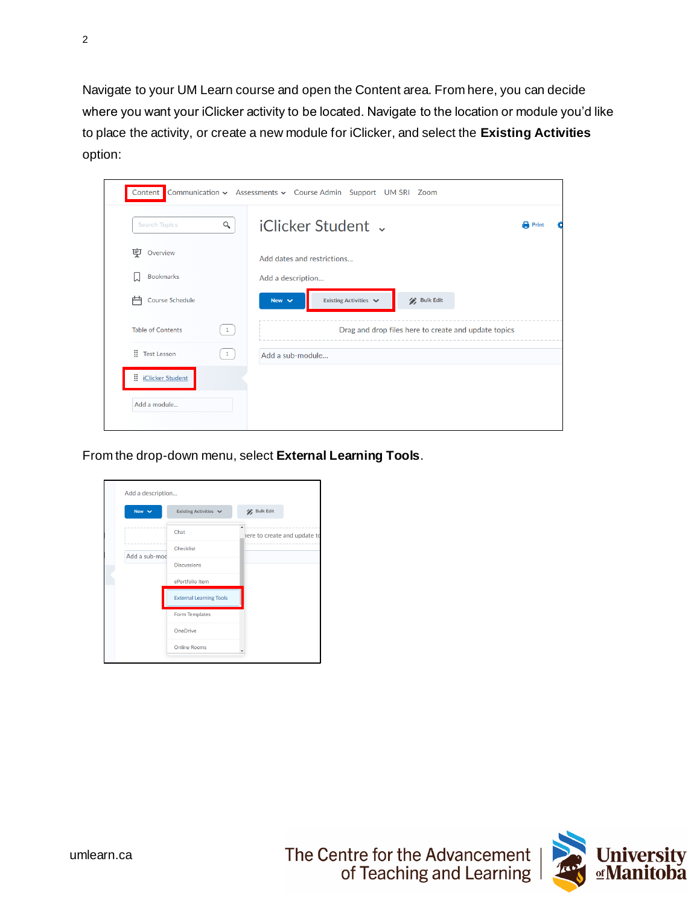Navigate to your UM Learn course and open the Content area. From here, you can decide where you want your iClicker activity to be located. Navigate to the location or module you'd like to place the activity, or create a new module for iClicker, and select the **Existing Activities** option:

|                                                                             | Content Communication v Assessments v Course Admin Support UM SRI Zoom |              |
|-----------------------------------------------------------------------------|------------------------------------------------------------------------|--------------|
| $\alpha$<br><b>Search Topics</b>                                            | iClicker Student .                                                     | <b>Print</b> |
| 稟<br>Overview                                                               | Add dates and restrictions                                             |              |
| <b>Bookmarks</b><br>IJ                                                      | Add a description                                                      |              |
| Course Schedule<br>户                                                        | Existing Activities $\vee$<br><b>Bulk Edit</b><br>New $\vee$           |              |
| <b>Table of Contents</b><br>$\left  \begin{array}{c} 1 \end{array} \right $ | Drag and drop files here to create and update topics                   |              |
| : Test Lesson<br>$\vert 1 \vert$                                            | Add a sub-module                                                       |              |
| Ħ.<br><b>iClicker Student</b>                                               |                                                                        |              |
| Add a module                                                                |                                                                        |              |

From the drop-down menu, select **External Learning Tools**.

| New $\vee$    | Existing Activities v          | / Bulk Edit                  |
|---------------|--------------------------------|------------------------------|
|               | Chat                           | here to create and update to |
| Add a sub-mod | Checklist                      |                              |
|               | <b>Discussions</b>             |                              |
|               | ePortfolio Item                |                              |
|               | <b>External Learning Tools</b> |                              |
|               | Form Templates                 |                              |
|               | <b>OneDrive</b>                |                              |
|               | <b>Online Rooms</b>            |                              |

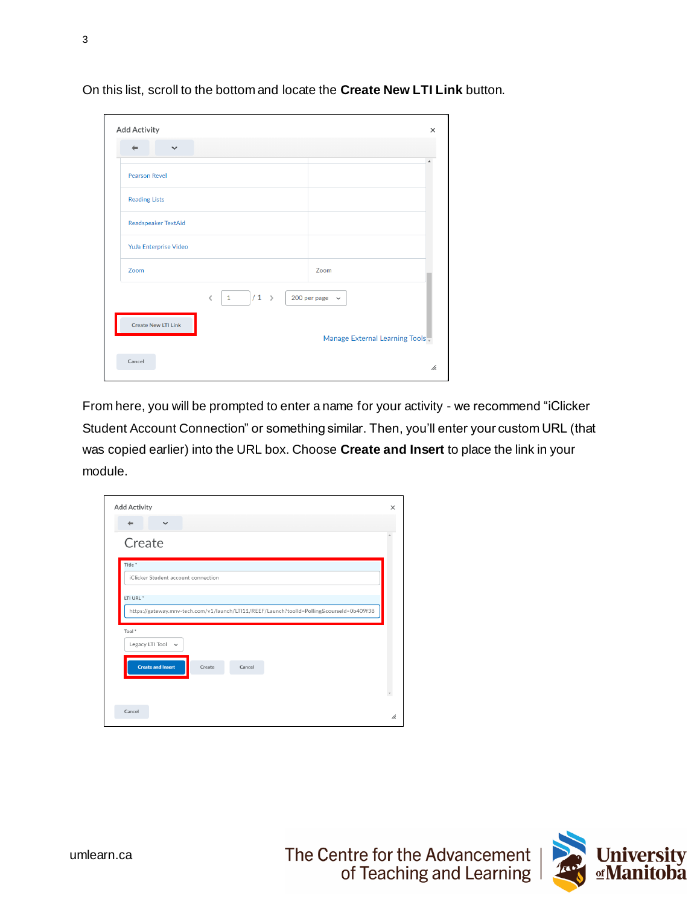| $\checkmark$               |                          |                                |
|----------------------------|--------------------------|--------------------------------|
| <b>Pearson Revel</b>       |                          |                                |
| <b>Reading Lists</b>       |                          |                                |
| <b>Readspeaker TextAid</b> |                          |                                |
| YuJa Enterprise Video      |                          |                                |
| Zoom                       |                          | Zoom                           |
|                            | $/1$ ><br>1<br>$\,$ $\,$ | 200 per page $\sim$            |
| <b>Create New LTI Link</b> |                          |                                |
|                            |                          | Manage External Learning Tools |

On this list, scroll to the bottom and locate the **Create New LTI Link** button.

From here, you will be prompted to enter a name for your activity - we recommend "iClicker Student Account Connection" or something similar. Then, you'll enter your custom URL (that was copied earlier) into the URL box. Choose **Create and Insert** to place the link in your module.

| <b>Add Activity</b>                                                                       |        |        |  | $\times$ |
|-------------------------------------------------------------------------------------------|--------|--------|--|----------|
| $\checkmark$<br>$\leftarrow$                                                              |        |        |  |          |
| Create                                                                                    |        |        |  |          |
| Title <sup>*</sup>                                                                        |        |        |  |          |
| iClicker Student account connection                                                       |        |        |  |          |
| LTI URL <sup>*</sup>                                                                      |        |        |  |          |
| https://gateway.mnv-tech.com/v1/launch/LTI11/REEF/Launch?toolId=Polling&courseId=0b409f38 |        |        |  |          |
| Tool *                                                                                    |        |        |  |          |
| Legacy LTI Tool v                                                                         |        |        |  |          |
|                                                                                           |        |        |  |          |
| <b>Create and Insert</b>                                                                  | Create | Cancel |  |          |
|                                                                                           |        |        |  |          |
|                                                                                           |        |        |  |          |
|                                                                                           |        |        |  |          |



3

[umlearn.ca](https://universityofmanitoba.desire2learn.com/d2l/home)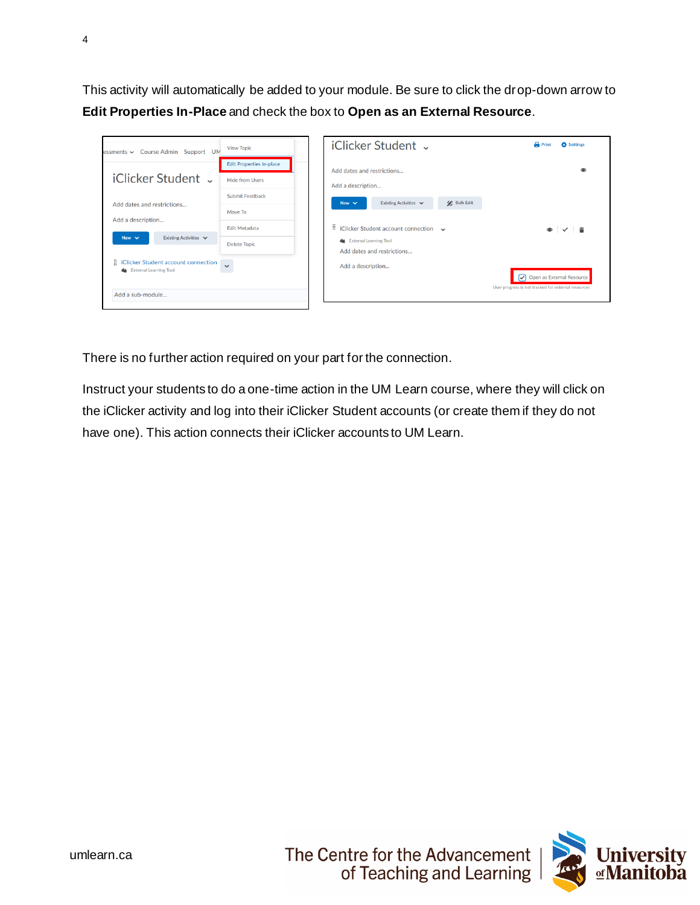This activity will automatically be added to your module. Be sure to click the drop-down arrow to **Edit Properties In-Place** and check the box to **Open as an External Resource**.



There is no further action required on your part for the connection.

Instruct your students to do a one-time action in the UM Learn course, where they will click on the iClicker activity and log into their iClicker Student accounts (or create them if they do not have one). This action connects their iClicker accounts to UM Learn.

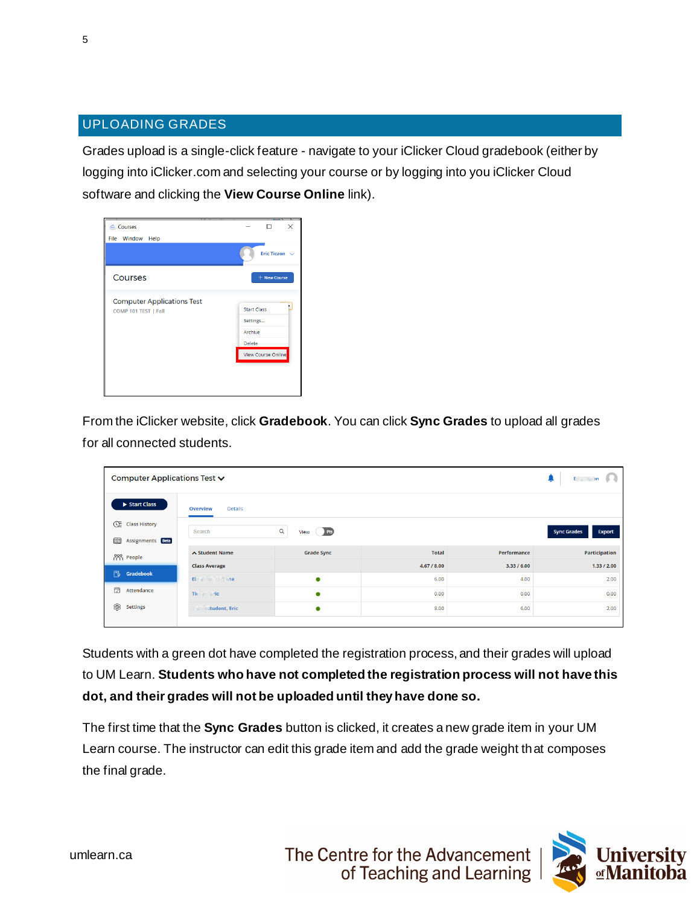## UPLOADING GRADES

Grades upload is a single-click feature - navigate to your iClicker Cloud gradebook (either by logging into iClicker.com and selecting your course or by logging into you iClicker Cloud software and clicking the **View Course Online** link).

| Courses<br>File Window Help                               | ×<br>п                                                                           |
|-----------------------------------------------------------|----------------------------------------------------------------------------------|
|                                                           | Eric Ticzon $\sqrt{}$                                                            |
| Courses                                                   | + New Course                                                                     |
| <b>Computer Applications Test</b><br>COMP 101 TEST   Fall | <b>Start Class</b><br>Settings<br>Archive<br><b>Delete</b><br>View Course Online |
|                                                           |                                                                                  |

From the iClicker website, click **Gradebook**. You can click **Sync Grades** to upload all grades for all connected students.

| Computer Applications Test ↓ |                            |                      |              |             | <b>Eric Ticzon</b>                  |
|------------------------------|----------------------------|----------------------|--------------|-------------|-------------------------------------|
| Start Class                  | Overview<br>Details        |                      |              |             |                                     |
| <b>E</b> Class History       | Search                     | View Pts<br>$\alpha$ |              |             | <b>Sync Grades</b><br><b>Export</b> |
| œ<br>Assignments Beta        |                            |                      |              |             |                                     |
| <b>POO People</b>            | ∧ Student Name             | <b>Grade Sync</b>    | <b>Total</b> | Performance | <b>Participation</b>                |
|                              | <b>Class Average</b>       |                      | 4.67 / 8.00  | 3.33 / 6.00 | 1.33 / 2.00                         |
| 長<br>Gradebook               | Ebrahim, Farzaha           | $\bullet$            | 6.00         | 4.00        | 2.00                                |
| 暟<br>Attendance              | Ticzon, Eric               | $\bullet$            | 0.00         | 0.00        | 0.00                                |
| ❀<br><b>Settings</b>         | <b>Tiszenstudent, Eric</b> | $\bullet$            | 8.00         | 6.00        | 2.00                                |
|                              |                            |                      |              |             |                                     |

Students with a green dot have completed the registration process, and their grades will upload to UM Learn. **Students who have not completed the registration process will not have this dot, and their grades will not be uploaded until they have done so.** 

The first time that the **Sync Grades** button is clicked, it creates a new grade item in your UM Learn course. The instructor can edit this grade item and add the grade weight that composes the final grade.